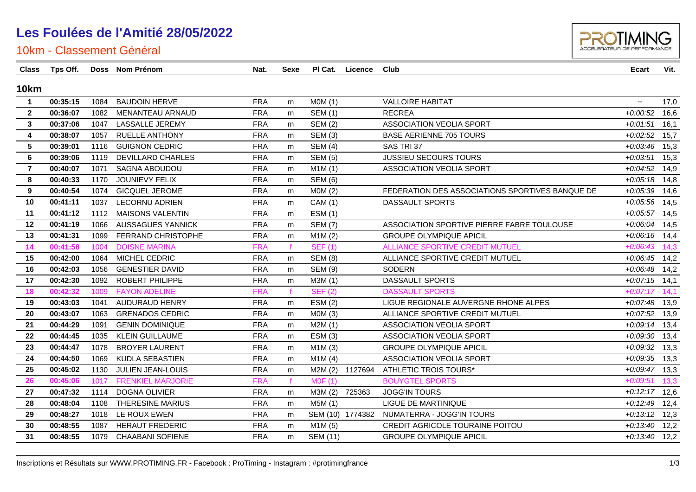

| Class          | Tps Off. |      | Doss Nom Prénom           | Nat.       | <b>Sexe</b> |                 | PI Cat. Licence | Club                                            | <b>Ecart</b>             | Vit. |
|----------------|----------|------|---------------------------|------------|-------------|-----------------|-----------------|-------------------------------------------------|--------------------------|------|
| <b>10km</b>    |          |      |                           |            |             |                 |                 |                                                 |                          |      |
| $\mathbf{1}$   | 00:35:15 | 1084 | <b>BAUDOIN HERVE</b>      | <b>FRA</b> | m           | MOM(1)          |                 | <b>VALLOIRE HABITAT</b>                         | $\overline{\phantom{a}}$ | 17,0 |
| $\mathbf{2}$   | 00:36:07 | 1082 | MENANTEAU ARNAUD          | <b>FRA</b> | m           | <b>SEM (1)</b>  |                 | <b>RECREA</b>                                   | $+0.00:52$               | 16,6 |
| 3              | 00:37:06 | 1047 | LASSALLE JEREMY           | <b>FRA</b> | m           | <b>SEM (2)</b>  |                 | <b>ASSOCIATION VEOLIA SPORT</b>                 | $+0.01.51$               | 16,1 |
| 4              | 00:38:07 | 1057 | <b>RUELLE ANTHONY</b>     | <b>FRA</b> | m           | <b>SEM (3)</b>  |                 | <b>BASE AERIENNE 705 TOURS</b>                  | $+0.02:52$               | 15,7 |
| 5              | 00:39:01 | 1116 | <b>GUIGNON CEDRIC</b>     | <b>FRA</b> | m           | <b>SEM (4)</b>  |                 | SAS TRI 37                                      | $+0.03:46$               | 15,3 |
| 6              | 00:39:06 | 1119 | <b>DEVILLARD CHARLES</b>  | <b>FRA</b> | m           | <b>SEM (5)</b>  |                 | JUSSIEU SECOURS TOURS                           | $+0.03:51$               | 15,3 |
| $\overline{7}$ | 00:40:07 | 1071 | SAGNA ABOUDOU             | <b>FRA</b> | m           | M1M(1)          |                 | ASSOCIATION VEOLIA SPORT                        | $+0.04:52$               | 14,9 |
| 8              | 00:40:33 | 1170 | JOUNIEVY FELIX            | <b>FRA</b> | m           | <b>SEM (6)</b>  |                 |                                                 | $+0.05:18$               | 14,8 |
| 9              | 00:40:54 | 1074 | <b>GICQUEL JEROME</b>     | <b>FRA</b> | m           | MOM(2)          |                 | FEDERATION DES ASSOCIATIONS SPORTIVES BANQUE DE | $+0.05.39$               | 14,6 |
| 10             | 00:41:11 | 1037 | <b>LECORNU ADRIEN</b>     | <b>FRA</b> | m           | <b>CAM</b> (1)  |                 | DASSAULT SPORTS                                 | $+0.05:56$               | 14,5 |
| 11             | 00:41:12 | 1112 | <b>MAISONS VALENTIN</b>   | <b>FRA</b> | m           | <b>ESM (1)</b>  |                 |                                                 | $+0.05:57$               | 14,5 |
| 12             | 00:41:19 | 1066 | <b>AUSSAGUES YANNICK</b>  | <b>FRA</b> | m           | <b>SEM (7)</b>  |                 | ASSOCIATION SPORTIVE PIERRE FABRE TOULOUSE      | $+0.06:04$               | 14,5 |
| 13             | 00:41:31 | 1099 | <b>FERRAND CHRISTOPHE</b> | <b>FRA</b> | m           | M1M(2)          |                 | <b>GROUPE OLYMPIQUE APICIL</b>                  | $+0.06:16$               | 14,4 |
| 14             | 00:41:58 | 1004 | <b>DOISNE MARINA</b>      | <b>FRA</b> |             | <b>SEF (1)</b>  |                 | <b>ALLIANCE SPORTIVE CREDIT MUTUEL</b>          | $+0.06:43$               | 14,3 |
| 15             | 00:42:00 | 1064 | <b>MICHEL CEDRIC</b>      | <b>FRA</b> | m           | <b>SEM (8)</b>  |                 | ALLIANCE SPORTIVE CREDIT MUTUEL                 | $+0.06:45$               | 14,2 |
| 16             | 00:42:03 | 1056 | <b>GENESTIER DAVID</b>    | <b>FRA</b> | m           | <b>SEM (9)</b>  |                 | SODERN                                          | $+0.06:48$               | 14,2 |
| 17             | 00:42:30 | 1092 | <b>ROBERT PHILIPPE</b>    | <b>FRA</b> | m           | M3M (1)         |                 | DASSAULT SPORTS                                 | $+0.07:15$ 14,1          |      |
| 18             | 00:42:32 | 1009 | <b>FAYON ADELINE</b>      | <b>FRA</b> |             | <b>SEF (2)</b>  |                 | <b>DASSAULT SPORTS</b>                          | $+0:07:17$               | 14,1 |
| 19             | 00:43:03 | 1041 | <b>AUDURAUD HENRY</b>     | <b>FRA</b> | m           | ESM(2)          |                 | LIGUE REGIONALE AUVERGNE RHONE ALPES            | $+0.07:48$               | 13,9 |
| 20             | 00:43:07 | 1063 | <b>GRENADOS CEDRIC</b>    | <b>FRA</b> | m           | MOM(3)          |                 | ALLIANCE SPORTIVE CREDIT MUTUEL                 | $+0.07:52$               | 13,9 |
| 21             | 00:44:29 | 1091 | <b>GENIN DOMINIQUE</b>    | <b>FRA</b> | m           | M2M(1)          |                 | ASSOCIATION VEOLIA SPORT                        | $+0.09:14$               | 13,4 |
| 22             | 00:44:45 | 1035 | <b>KLEIN GUILLAUME</b>    | <b>FRA</b> | m           | ESM(3)          |                 | <b>ASSOCIATION VEOLIA SPORT</b>                 | $+0.0930$                | 13,4 |
| 23             | 00:44:47 | 1078 | <b>BROYER LAURENT</b>     | <b>FRA</b> | m           | M1M(3)          |                 | <b>GROUPE OLYMPIQUE APICIL</b>                  | $+0.0932$                | 13,3 |
| 24             | 00:44:50 | 1069 | KUDLA SEBASTIEN           | <b>FRA</b> | m           | M1M(4)          |                 | <b>ASSOCIATION VEOLIA SPORT</b>                 | $+0.0935$                | 13,3 |
| 25             | 00:45:02 | 1130 | JULIEN JEAN-LOUIS         | <b>FRA</b> | m           |                 | M2M (2) 1127694 | <b>ATHLETIC TROIS TOURS*</b>                    | $+0.09:47$               | 13,3 |
| 26             | 00:45:06 | 1017 | <b>FRENKIEL MARJORIE</b>  | <b>FRA</b> |             | <b>MOF (1)</b>  |                 | <b>BOUYGTEL SPORTS</b>                          | $+0.09:51$               | 13,3 |
| 27             | 00:47:32 | 1114 | <b>DOGNA OLIVIER</b>      | <b>FRA</b> | m           | M3M (2)         | 725363          | <b>JOGG'IN TOURS</b>                            | $+0:12:17$               | 12,6 |
| 28             | 00:48:04 | 1108 | THERESINE MARIUS          | <b>FRA</b> | m           | M5M (1)         |                 | LIGUE DE MARTINIQUE                             | $+0.12:49$               | 12,4 |
| 29             | 00:48:27 | 1018 | LE ROUX EWEN              | <b>FRA</b> | m           |                 |                 | SEM (10) 1774382 NUMATERRA - JOGG'IN TOURS      | $+0:13:12$               | 12,3 |
| 30             | 00:48:55 | 1087 | <b>HERAUT FREDERIC</b>    | <b>FRA</b> | m           | M1M(5)          |                 | CREDIT AGRICOLE TOURAINE POITOU                 | $+0.13:40$               | 12,2 |
| 31             | 00:48:55 |      | 1079 CHAABANI SOFIENE     | <b>FRA</b> | m           | <b>SEM (11)</b> |                 | <b>GROUPE OLYMPIQUE APICIL</b>                  | $+0:13:40$ 12,2          |      |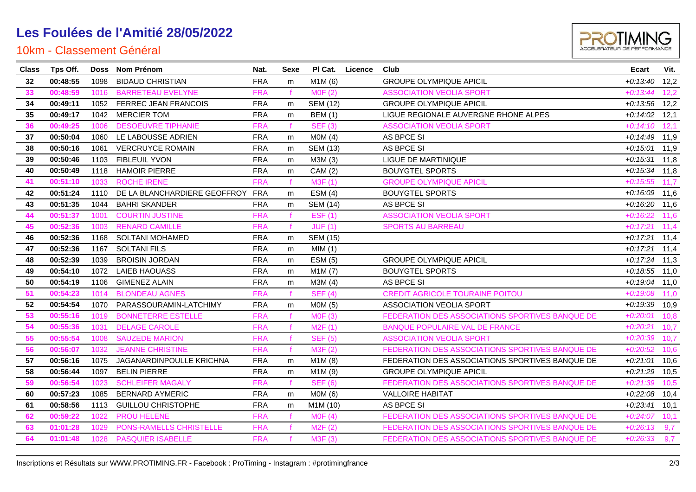

| <b>Class</b> | Tps Off. |      | Doss Nom Prénom              | Nat.       | Sexe         |                 | PI Cat. Licence | Club                                            | <b>Ecart</b>    | Vit. |
|--------------|----------|------|------------------------------|------------|--------------|-----------------|-----------------|-------------------------------------------------|-----------------|------|
| 32           | 00:48:55 | 1098 | <b>BIDAUD CHRISTIAN</b>      | <b>FRA</b> | m            | M1M (6)         |                 | <b>GROUPE OLYMPIQUE APICIL</b>                  | $+0:13:40$ 12,2 |      |
| 33           | 00:48:59 | 1016 | <b>BARRETEAU EVELYNE</b>     | <b>FRA</b> |              | MOF(2)          |                 | <b>ASSOCIATION VEOLIA SPORT</b>                 | $+0:13:44$      | 12,2 |
| 34           | 00:49:11 | 1052 | FERREC JEAN FRANCOIS         | <b>FRA</b> | m            | <b>SEM (12)</b> |                 | <b>GROUPE OLYMPIQUE APICIL</b>                  | $+0.13.56$      | 12,2 |
| 35           | 00:49:17 | 1042 | <b>MERCIER TOM</b>           | <b>FRA</b> | m            | <b>BEM (1)</b>  |                 | LIGUE REGIONALE AUVERGNE RHONE ALPES            | $+0.14:02$      | 12,1 |
| 36           | 00:49:25 | 1006 | <b>DESOEUVRE TIPHANIE</b>    | <b>FRA</b> | $\mathbf{f}$ | <b>SEF (3)</b>  |                 | <b>ASSOCIATION VEOLIA SPORT</b>                 | $+0:14:10$      | 12,1 |
| 37           | 00:50:04 | 1060 | LE LABOUSSE ADRIEN           | <b>FRA</b> | m            | MOM(4)          |                 | AS BPCE SI                                      | $+0:14:49$ 11,9 |      |
| 38           | 00:50:16 | 1061 | <b>VERCRUYCE ROMAIN</b>      | <b>FRA</b> | m            | <b>SEM (13)</b> |                 | AS BPCE SI                                      | $+0:15:01$ 11,9 |      |
| 39           | 00:50:46 | 1103 | <b>FIBLEUIL YVON</b>         | <b>FRA</b> | m            | M3M (3)         |                 | LIGUE DE MARTINIQUE                             | $+0:15:31$ 11,8 |      |
| 40           | 00:50:49 | 1118 | <b>HAMOIR PIERRE</b>         | <b>FRA</b> | m            | CAM (2)         |                 | <b>BOUYGTEL SPORTS</b>                          | $+0:15:34$ 11,8 |      |
| 41           | 00:51:10 | 1033 | <b>ROCHE IRENE</b>           | <b>FRA</b> | $\mathbf{f}$ | M3F (1)         |                 | <b>GROUPE OLYMPIQUE APICIL</b>                  | $+0:15:55$      | 11,7 |
| 42           | 00:51:24 | 1110 | DE LA BLANCHARDIERE GEOFFROY | <b>FRA</b> | m            | ESM(4)          |                 | <b>BOUYGTEL SPORTS</b>                          | $+0:16:09$ 11,6 |      |
| 43           | 00:51:35 | 1044 | <b>BAHRI SKANDER</b>         | <b>FRA</b> | m            | <b>SEM (14)</b> |                 | AS BPCE SI                                      | $+0:16:20$ 11,6 |      |
| 44           | 00:51:37 | 1001 | <b>COURTIN JUSTINE</b>       | <b>FRA</b> |              | EST(1)          |                 | <b>ASSOCIATION VEOLIA SPORT</b>                 | $+0:16:22$      | 11,6 |
| 45           | 00:52:36 | 1003 | <b>RENARD CAMILLE</b>        | <b>FRA</b> |              | JUF(1)          |                 | <b>SPORTS AU BARREAU</b>                        | $+0:17:21$      | 11,4 |
| 46           | 00:52:36 | 1168 | <b>SOLTANI MOHAMED</b>       | <b>FRA</b> | m            | <b>SEM (15)</b> |                 |                                                 | $+0:17:21$      | 11,4 |
| 47           | 00:52:36 | 1167 | <b>SOLTANI FILS</b>          | <b>FRA</b> | m            | MIM(1)          |                 |                                                 | $+0:17:21$      | 11,4 |
| 48           | 00:52:39 | 1039 | <b>BROISIN JORDAN</b>        | <b>FRA</b> | m            | ESM(5)          |                 | <b>GROUPE OLYMPIQUE APICIL</b>                  | $+0:17:24$ 11,3 |      |
| 49           | 00:54:10 | 1072 | <b>LAIEB HAOUASS</b>         | <b>FRA</b> | m            | M1M(7)          |                 | <b>BOUYGTEL SPORTS</b>                          | $+0:18:55$ 11,0 |      |
| 50           | 00:54:19 | 1106 | <b>GIMENEZ ALAIN</b>         | <b>FRA</b> | m            | M3M (4)         |                 | AS BPCE SI                                      | $+0:19:04$ 11,0 |      |
| 51           | 00:54:23 | 1014 | <b>BLONDEAU AGNES</b>        | <b>FRA</b> |              | <b>SEF (4)</b>  |                 | CREDIT AGRICOLE TOURAINE POITOU                 | $+0:19:08$      | 11,0 |
| 52           | 00:54:54 | 1070 | PARASSOURAMIN-LATCHIMY       | <b>FRA</b> | m            | M0M (5)         |                 | ASSOCIATION VEOLIA SPORT                        | $+0:19:39$ 10,9 |      |
| 53           | 00:55:16 | 1019 | <b>BONNETERRE ESTELLE</b>    | <b>FRA</b> |              | MOF(3)          |                 | FEDERATION DES ASSOCIATIONS SPORTIVES BANQUE DE | $+0.20:01$      | 10,8 |
| 54           | 00:55:36 | 1031 | <b>DELAGE CAROLE</b>         | <b>FRA</b> |              | M2F(1)          |                 | <b>BANQUE POPULAIRE VAL DE FRANCE</b>           | $+0:20:21$      | 10,7 |
| 55           | 00:55:54 | 1008 | <b>SAUZEDE MARION</b>        | <b>FRA</b> |              | <b>SEF (5)</b>  |                 | <b>ASSOCIATION VEOLIA SPORT</b>                 | $+0.20.39$      | 10,7 |
| 56           | 00:56:07 | 1032 | <b>JEANNE CHRISTINE</b>      | <b>FRA</b> |              | M3F (2)         |                 | FEDERATION DES ASSOCIATIONS SPORTIVES BANQUE DE | $+0:20:52$      | 10,6 |
| 57           | 00:56:16 | 1075 | JAGANARDINPOULLE KRICHNA     | <b>FRA</b> | m            | M1M(8)          |                 | FEDERATION DES ASSOCIATIONS SPORTIVES BANQUE DE | $+0.21:01$      | 10,6 |
| 58           | 00:56:44 | 1097 | <b>BELIN PIERRE</b>          | <b>FRA</b> | m            | M1M (9)         |                 | <b>GROUPE OLYMPIQUE APICIL</b>                  | $+0.21.29$ 10,5 |      |
| 59           | 00:56:54 | 1023 | <b>SCHLEIFER MAGALY</b>      | <b>FRA</b> | $\mathbf{f}$ | <b>SEF (6)</b>  |                 | FEDERATION DES ASSOCIATIONS SPORTIVES BANQUE DE | $+0:21:39$      | 10,5 |
| 60           | 00:57:23 | 1085 | <b>BERNARD AYMERIC</b>       | <b>FRA</b> | m            | MOM(6)          |                 | <b>VALLOIRE HABITAT</b>                         | $+0.22:08$      | 10,4 |
| 61           | 00:58:56 | 1113 | <b>GUILLOU CHRISTOPHE</b>    | <b>FRA</b> | m            | M1M (10)        |                 | AS BPCE SI                                      | $+0.23:41$ 10,1 |      |
| 62           | 00:59:22 | 1022 | <b>PROU HELENE</b>           | <b>FRA</b> |              | MOF(4)          |                 | FEDERATION DES ASSOCIATIONS SPORTIVES BANQUE DE | $+0:24:07$      | 10,1 |
| 63           | 01:01:28 | 1029 | PONS-RAMELLS CHRISTELLE      | <b>FRA</b> |              | M2F (2)         |                 | FEDERATION DES ASSOCIATIONS SPORTIVES BANQUE DE | $+0.26:13$      | 9,7  |
| 64           | 01:01:48 | 1028 | <b>PASQUIER ISABELLE</b>     | <b>FRA</b> |              | M3F (3)         |                 | FEDERATION DES ASSOCIATIONS SPORTIVES BANQUE DE | $+0.26.33$ 9,7  |      |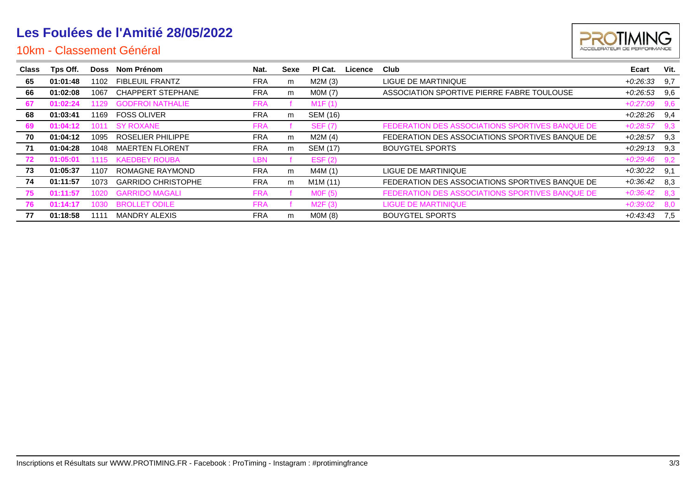

| <b>Class</b> | Tps Off. |       | Doss Nom Prénom           | Nat.       | Sexe | PI Cat.        | Licence | Club                                            | Ecart      | Vit. |
|--------------|----------|-------|---------------------------|------------|------|----------------|---------|-------------------------------------------------|------------|------|
| 65           | 01:01:48 | 1102  | <b>FIBLEUIL FRANTZ</b>    | <b>FRA</b> | m    | M2M (3)        |         | LIGUE DE MARTINIQUE                             | $+0.26.33$ | 9.7  |
| 66           | 01:02:08 | 1067  | <b>CHAPPERT STEPHANE</b>  | <b>FRA</b> | m    | MOM(7)         |         | ASSOCIATION SPORTIVE PIERRE FABRE TOULOUSE      | $+0.26.53$ | 9.6  |
| 67           | 01:02:24 | 1129. | <b>GODFROI NATHALIE</b>   | <b>FRA</b> |      | M1F(1)         |         |                                                 | $+0.27:09$ | 9,6  |
| 68           | 01:03:41 | 1169  | <b>FOSS OLIVER</b>        | <b>FRA</b> | m    | SEM (16)       |         |                                                 | +0:28:26   | 9,4  |
| 69           | 01:04:12 | 1011  | <b>SY ROXANE</b>          | <b>FRA</b> |      | <b>SEF (7)</b> |         | FEDERATION DES ASSOCIATIONS SPORTIVES BANQUE DE | $+0.28:57$ | 9,3  |
| 70           | 01:04:12 | 1095  | ROSELIER PHILIPPE         | <b>FRA</b> | m    | M2M(4)         |         | FEDERATION DES ASSOCIATIONS SPORTIVES BANQUE DE | $+0.28:57$ | 9,3  |
| 71           | 01:04:28 | 1048  | <b>MAERTEN FLORENT</b>    | <b>FRA</b> | m    | SEM (17)       |         | <b>BOUYGTEL SPORTS</b>                          | $+0.29:13$ | 9,3  |
| 72           | 01:05:01 | 1115  | <b>KAEDBEY ROUBA</b>      | LBN        |      | EST(2)         |         |                                                 | $+0.29:46$ | 9,2  |
| 73           | 01:05:37 | 1107  | ROMAGNE RAYMOND           | <b>FRA</b> | m    | M4M (1)        |         | LIGUE DE MARTINIQUE                             | +0:30:22   | 9,1  |
| 74           | 01:11:57 | 1073  | <b>GARRIDO CHRISTOPHE</b> | <b>FRA</b> | m    | M1M (11)       |         | FEDERATION DES ASSOCIATIONS SPORTIVES BANQUE DE | $+0.36.42$ | 8,3  |
| 75           | 01:11:57 | 1020  | <b>GARRIDO MAGALI</b>     | <b>FRA</b> |      | MOF(5)         |         | FEDERATION DES ASSOCIATIONS SPORTIVES BANQUE DE | $+0.36:42$ | 8,3  |
| 76           | 01:14:17 | 1030  | <b>BROLLET ODILE</b>      | <b>FRA</b> |      | M2F(3)         |         | <b>LIGUE DE MARTINIQUE</b>                      | $+0.39:02$ | 8,0  |
| 77           | 01:18:58 | 1111  | <b>MANDRY ALEXIS</b>      | <b>FRA</b> | m    | MOM(8)         |         | <b>BOUYGTEL SPORTS</b>                          | $+0.43.43$ | 7.5  |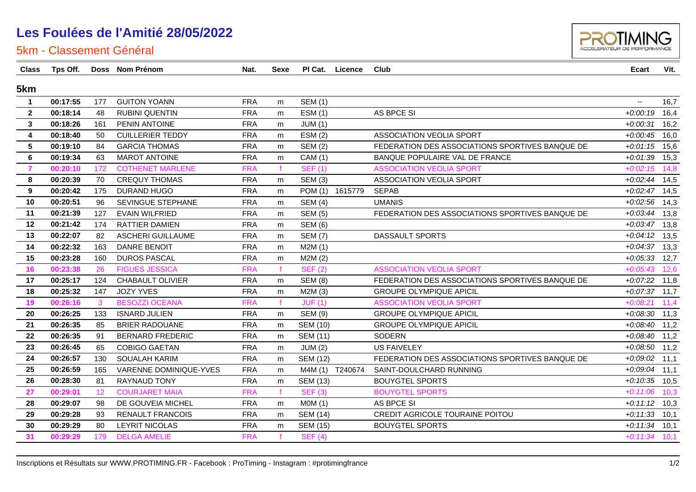

| <b>Class</b>    | Tps Off. |     | Doss Nom Prénom          | Nat.       | <b>Sexe</b>  |                 | PI Cat. Licence | Club                                            | <b>Ecart</b>             | Vit. |
|-----------------|----------|-----|--------------------------|------------|--------------|-----------------|-----------------|-------------------------------------------------|--------------------------|------|
| 5km             |          |     |                          |            |              |                 |                 |                                                 |                          |      |
| $\overline{1}$  | 00:17:55 | 177 | <b>GUITON YOANN</b>      | <b>FRA</b> | m            | <b>SEM (1)</b>  |                 |                                                 | $\overline{\phantom{a}}$ | 16,7 |
| $\overline{2}$  | 00:18:14 | 48  | <b>RUBINI QUENTIN</b>    | <b>FRA</b> | m            | <b>ESM (1)</b>  |                 | AS BPCE SI                                      | $+0:00:19$               | 16,4 |
| $\mathbf{3}$    | 00:18:26 | 161 | PENIN ANTOINE            | <b>FRA</b> | m            | JUM(1)          |                 |                                                 | $+0.00.31$               | 16,2 |
| 4               | 00:18:40 | 50  | <b>CUILLERIER TEDDY</b>  | <b>FRA</b> | m            | ESM(2)          |                 | ASSOCIATION VEOLIA SPORT                        | $+0.00:45$               | 16,0 |
| $5\overline{)}$ | 00:19:10 | 84  | <b>GARCIA THOMAS</b>     | <b>FRA</b> | m            | <b>SEM (2)</b>  |                 | FEDERATION DES ASSOCIATIONS SPORTIVES BANQUE DE | $+0.01:15$               | 15,6 |
| 6               | 00:19:34 | 63  | <b>MAROT ANTOINE</b>     | <b>FRA</b> | m            | CAM (1)         |                 | BANQUE POPULAIRE VAL DE FRANCE                  | $+0.01.39$ 15,3          |      |
| $\overline{7}$  | 00:20:10 | 172 | <b>COTHENET MARLENE</b>  | <b>FRA</b> |              | <b>SEF (1)</b>  |                 | <b>ASSOCIATION VEOLIA SPORT</b>                 | $+0.02:15$               | 14,8 |
| 8               | 00:20:39 | 70  | <b>CREQUY THOMAS</b>     | <b>FRA</b> | m            | <b>SEM (3)</b>  |                 | ASSOCIATION VEOLIA SPORT                        | $+0.02:44$ 14,5          |      |
| 9               | 00:20:42 | 175 | DURAND HUGO              | <b>FRA</b> | m            | POM (1) 1615779 |                 | <b>SEPAB</b>                                    | $+0.02:47$ 14,5          |      |
| 10              | 00:20:51 | 96  | SEVINGUE STEPHANE        | <b>FRA</b> | m            | <b>SEM (4)</b>  |                 | <b>UMANIS</b>                                   | $+0.02:56$               | 14,3 |
| 11              | 00:21:39 | 127 | <b>EVAIN WILFRIED</b>    | <b>FRA</b> | m            | <b>SEM (5)</b>  |                 | FEDERATION DES ASSOCIATIONS SPORTIVES BANQUE DE | $+0.03:44$               | 13,8 |
| 12              | 00:21:42 | 174 | RATTIER DAMIEN           | <b>FRA</b> | m            | <b>SEM (6)</b>  |                 |                                                 | $+0.03:47$ 13,8          |      |
| 13              | 00:22:07 | 82  | <b>ASCHERI GUILLAUME</b> | <b>FRA</b> | m            | <b>SEM (7)</b>  |                 | DASSAULT SPORTS                                 | $+0.04:12$ 13,5          |      |
| 14              | 00:22:32 | 163 | <b>DANRE BENOIT</b>      | <b>FRA</b> | m            | M2M(1)          |                 |                                                 | $+0.04.37$ 13,3          |      |
| 15              | 00:23:28 | 160 | <b>DUROS PASCAL</b>      | <b>FRA</b> | m            | M2M(2)          |                 |                                                 | $+0.05:33$ 12,7          |      |
| 16              | 00:23:38 | 26  | <b>FIGUES JESSICA</b>    | <b>FRA</b> |              | <b>SEF (2)</b>  |                 | <b>ASSOCIATION VEOLIA SPORT</b>                 | $+0.05:43$               | 12,6 |
| 17              | 00:25:17 | 124 | CHABAULT OLIVIER         | <b>FRA</b> | m            | <b>SEM (8)</b>  |                 | FEDERATION DES ASSOCIATIONS SPORTIVES BANQUE DE | $+0.07:22$ 11,8          |      |
| 18              | 00:25:32 | 147 | <b>JOZY YVES</b>         | <b>FRA</b> | m            | M2M(3)          |                 | <b>GROUPE OLYMPIQUE APICIL</b>                  | $+0.07.37$ 11,7          |      |
| 19              | 00:26:16 | 3   | <b>BESOZZI OCEANA</b>    | <b>FRA</b> | $\mathbf{f}$ | JUF(1)          |                 | <b>ASSOCIATION VEOLIA SPORT</b>                 | $+0.08:21$               | 11,4 |
| 20              | 00:26:25 | 133 | <b>ISNARD JULIEN</b>     | <b>FRA</b> | m            | <b>SEM (9)</b>  |                 | <b>GROUPE OLYMPIQUE APICIL</b>                  | $+0.08.30$ 11,3          |      |
| 21              | 00:26:35 | 85  | <b>BRIER RADOUANE</b>    | <b>FRA</b> | m            | <b>SEM (10)</b> |                 | <b>GROUPE OLYMPIQUE APICIL</b>                  | $+0.08:40$ 11,2          |      |
| 22              | 00:26:35 | 91  | <b>BERNARD FREDERIC</b>  | <b>FRA</b> | m            | <b>SEM (11)</b> |                 | <b>SODERN</b>                                   | $+0.08:40$ 11,2          |      |
| 23              | 00:26:45 | 65  | <b>COBIGO GAETAN</b>     | <b>FRA</b> | m            | JUM(2)          |                 | <b>US FAIVELEY</b>                              | $+0.08:50$ 11,2          |      |
| 24              | 00:26:57 | 130 | SOUALAH KARIM            | <b>FRA</b> | m            | <b>SEM (12)</b> |                 | FEDERATION DES ASSOCIATIONS SPORTIVES BANQUE DE | $+0.09.02$ 11,1          |      |
| 25              | 00:26:59 | 165 | VARENNE DOMINIQUE-YVES   | <b>FRA</b> | m            | M4M (1) T240674 |                 | SAINT-DOULCHARD RUNNING                         | $+0.09.04$ 11,1          |      |
| 26              | 00:28:30 | 81  | <b>RAYNAUD TONY</b>      | <b>FRA</b> | m            | <b>SEM (13)</b> |                 | <b>BOUYGTEL SPORTS</b>                          | $+0:10:35$ 10,5          |      |
| 27              | 00:29:01 | 12  | <b>COURJARET MAIA</b>    | <b>FRA</b> |              | <b>SEF (3)</b>  |                 | <b>BOUYGTEL SPORTS</b>                          | $+0:11:06$               | 10,3 |
| 28              | 00:29:07 | 98  | DE GOUVEIA MICHEL        | <b>FRA</b> | m            | MOM(1)          |                 | AS BPCE SI                                      | $+0:11:12$ 10,3          |      |
| 29              | 00:29:28 | 93  | <b>RENAULT FRANCOIS</b>  | <b>FRA</b> | m            | <b>SEM (14)</b> |                 | CREDIT AGRICOLE TOURAINE POITOU                 | $+0:11:33$               | 10,1 |
| 30              | 00:29:29 | 80  | <b>LEYRIT NICOLAS</b>    | <b>FRA</b> | m            | <b>SEM (15)</b> |                 | <b>BOUYGTEL SPORTS</b>                          | $+0:11:34$ 10,1          |      |
| 31              | 00:29:29 | 179 | <b>DELGA AMELIE</b>      | <b>FRA</b> |              | <b>SEF (4)</b>  |                 |                                                 | $+0:11:34$ 10,1          |      |